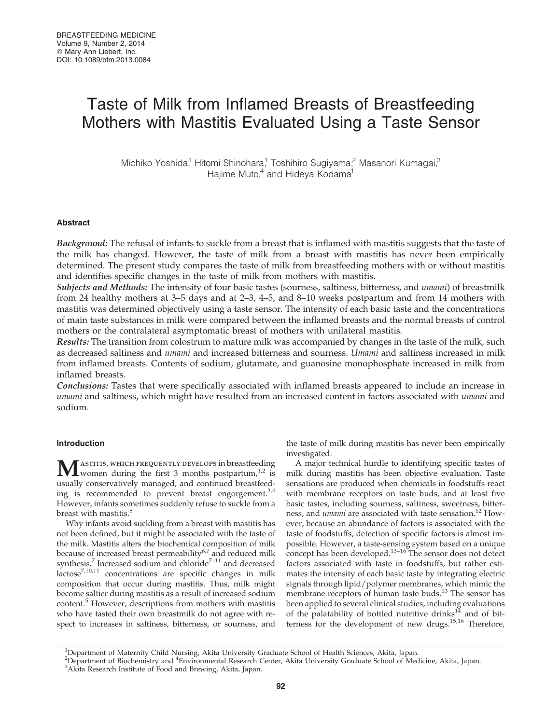# Taste of Milk from Inflamed Breasts of Breastfeeding Mothers with Mastitis Evaluated Using a Taste Sensor

Michiko Yoshida,<sup>1</sup> Hitomi Shinohara,<sup>1</sup> Toshihiro Sugiyama,<sup>2</sup> Masanori Kumagai,<sup>3</sup> Hajime Muto,<sup>4</sup> and Hideya Kodama<sup>1</sup>

## Abstract

Background: The refusal of infants to suckle from a breast that is inflamed with mastitis suggests that the taste of the milk has changed. However, the taste of milk from a breast with mastitis has never been empirically determined. The present study compares the taste of milk from breastfeeding mothers with or without mastitis and identifies specific changes in the taste of milk from mothers with mastitis.

Subjects and Methods: The intensity of four basic tastes (sourness, saltiness, bitterness, and umami) of breastmilk from 24 healthy mothers at 3–5 days and at 2–3, 4–5, and 8–10 weeks postpartum and from 14 mothers with mastitis was determined objectively using a taste sensor. The intensity of each basic taste and the concentrations of main taste substances in milk were compared between the inflamed breasts and the normal breasts of control mothers or the contralateral asymptomatic breast of mothers with unilateral mastitis.

Results: The transition from colostrum to mature milk was accompanied by changes in the taste of the milk, such as decreased saltiness and *umami* and increased bitterness and sourness. *Umami* and saltiness increased in milk from inflamed breasts. Contents of sodium, glutamate, and guanosine monophosphate increased in milk from inflamed breasts.

Conclusions: Tastes that were specifically associated with inflamed breasts appeared to include an increase in umami and saltiness, which might have resulted from an increased content in factors associated with umami and sodium.

# Introduction

MASTITIS, WHICH FREQUENTLY DEVELOPS in breastfeeding<br>women during the first 3 months postpartum,<sup>1,2</sup> is usually conservatively managed, and continued breastfeeding is recommended to prevent breast engorgement.<sup>3,4</sup> However, infants sometimes suddenly refuse to suckle from a breast with mastitis.<sup>5</sup>

Why infants avoid suckling from a breast with mastitis has not been defined, but it might be associated with the taste of the milk. Mastitis alters the biochemical composition of milk because of increased breast permeability $^{6,7}$  and reduced milk synthesis.<sup>7</sup> Increased sodium and chloride<sup>7-11</sup> and decreased  $lactose<sup>7,10,11</sup>$  concentrations are specific changes in milk composition that occur during mastitis. Thus, milk might become saltier during mastitis as a result of increased sodium content.<sup>5</sup> However, descriptions from mothers with mastitis who have tasted their own breastmilk do not agree with respect to increases in saltiness, bitterness, or sourness, and the taste of milk during mastitis has never been empirically investigated.

A major technical hurdle to identifying specific tastes of milk during mastitis has been objective evaluation. Taste sensations are produced when chemicals in foodstuffs react with membrane receptors on taste buds, and at least five basic tastes, including sourness, saltiness, sweetness, bitterness, and *umami* are associated with taste sensation.<sup>12</sup> However, because an abundance of factors is associated with the taste of foodstuffs, detection of specific factors is almost impossible. However, a taste-sensing system based on a unique concept has been developed. $13-16$  The sensor does not detect factors associated with taste in foodstuffs, but rather estimates the intensity of each basic taste by integrating electric signals through lipid/polymer membranes, which mimic the membrane receptors of human taste buds.<sup>13</sup> The sensor has been applied to several clinical studies, including evaluations of the palatability of bottled nutritive drinks $14$  and of bitterness for the development of new drugs.<sup>15,16</sup> Therefore,

<sup>1</sup> Department of Maternity Child Nursing, Akita University Graduate School of Health Sciences, Akita, Japan.

<sup>2</sup> Department of Biochemistry and <sup>4</sup> Environmental Research Center, Akita University Graduate School of Medicine, Akita, Japan. <sup>3</sup> Akita Research Institute of Food and Brewing, Akita, Japan.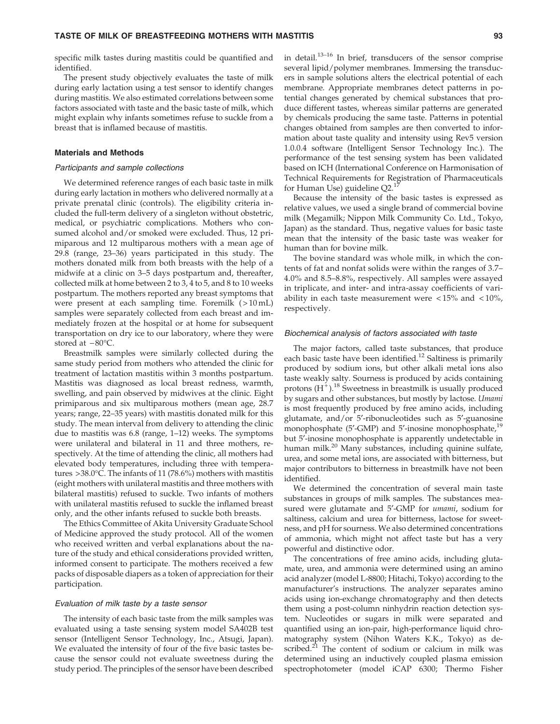specific milk tastes during mastitis could be quantified and identified.

The present study objectively evaluates the taste of milk during early lactation using a test sensor to identify changes during mastitis. We also estimated correlations between some factors associated with taste and the basic taste of milk, which might explain why infants sometimes refuse to suckle from a breast that is inflamed because of mastitis.

## Materials and Methods

#### Participants and sample collections

We determined reference ranges of each basic taste in milk during early lactation in mothers who delivered normally at a private prenatal clinic (controls). The eligibility criteria included the full-term delivery of a singleton without obstetric, medical, or psychiatric complications. Mothers who consumed alcohol and/or smoked were excluded. Thus, 12 primiparous and 12 multiparous mothers with a mean age of 29.8 (range, 23–36) years participated in this study. The mothers donated milk from both breasts with the help of a midwife at a clinic on 3–5 days postpartum and, thereafter, collected milk at home between 2 to 3, 4 to 5, and 8 to 10 weeks postpartum. The mothers reported any breast symptoms that were present at each sampling time. Foremilk  $(>10 \text{ mL})$ samples were separately collected from each breast and immediately frozen at the hospital or at home for subsequent transportation on dry ice to our laboratory, where they were stored at  $-80^{\circ}$ C.

Breastmilk samples were similarly collected during the same study period from mothers who attended the clinic for treatment of lactation mastitis within 3 months postpartum. Mastitis was diagnosed as local breast redness, warmth, swelling, and pain observed by midwives at the clinic. Eight primiparous and six multiparous mothers (mean age, 28.7 years; range, 22–35 years) with mastitis donated milk for this study. The mean interval from delivery to attending the clinic due to mastitis was 6.8 (range, 1–12) weeks. The symptoms were unilateral and bilateral in 11 and three mothers, respectively. At the time of attending the clinic, all mothers had elevated body temperatures, including three with temperatures >38.0°C. The infants of 11 (78.6%) mothers with mastitis (eight mothers with unilateral mastitis and three mothers with bilateral mastitis) refused to suckle. Two infants of mothers with unilateral mastitis refused to suckle the inflamed breast only, and the other infants refused to suckle both breasts.

The Ethics Committee of Akita University Graduate School of Medicine approved the study protocol. All of the women who received written and verbal explanations about the nature of the study and ethical considerations provided written, informed consent to participate. The mothers received a few packs of disposable diapers as a token of appreciation for their participation.

# Evaluation of milk taste by a taste sensor

The intensity of each basic taste from the milk samples was evaluated using a taste sensing system model SA402B test sensor (Intelligent Sensor Technology, Inc., Atsugi, Japan). We evaluated the intensity of four of the five basic tastes because the sensor could not evaluate sweetness during the study period. The principles of the sensor have been described

in detail.<sup>13-16</sup> In brief, transducers of the sensor comprise several lipid/polymer membranes. Immersing the transducers in sample solutions alters the electrical potential of each membrane. Appropriate membranes detect patterns in potential changes generated by chemical substances that produce different tastes, whereas similar patterns are generated by chemicals producing the same taste. Patterns in potential changes obtained from samples are then converted to information about taste quality and intensity using Rev5 version 1.0.0.4 software (Intelligent Sensor Technology Inc.). The performance of the test sensing system has been validated based on ICH (International Conference on Harmonisation of Technical Requirements for Registration of Pharmaceuticals for Human Use) guideline Q2.<sup>1</sup>

Because the intensity of the basic tastes is expressed as relative values, we used a single brand of commercial bovine milk (Megamilk; Nippon Milk Community Co. Ltd., Tokyo, Japan) as the standard. Thus, negative values for basic taste mean that the intensity of the basic taste was weaker for human than for bovine milk.

The bovine standard was whole milk, in which the contents of fat and nonfat solids were within the ranges of 3.7– 4.0% and 8.5–8.8%, respectively. All samples were assayed in triplicate, and inter- and intra-assay coefficients of variability in each taste measurement were  $\langle 15\% \rangle$  and  $\langle 10\% \rangle$ , respectively.

### Biochemical analysis of factors associated with taste

The major factors, called taste substances, that produce each basic taste have been identified.<sup>12</sup> Saltiness is primarily produced by sodium ions, but other alkali metal ions also taste weakly salty. Sourness is produced by acids containing protons  $(H<sup>+</sup>)$ .<sup>18</sup> Sweetness in breastmilk is usually produced by sugars and other substances, but mostly by lactose. Umami is most frequently produced by free amino acids, including glutamate, and/or 5'-ribonucleotides such as 5'-guanosine monophosphate (5'-GMP) and 5'-inosine monophosphate,<sup>19</sup> but 5<sup>'</sup>-inosine monophosphate is apparently undetectable in human milk.<sup>20</sup> Many substances, including quinine sulfate, urea, and some metal ions, are associated with bitterness, but major contributors to bitterness in breastmilk have not been identified.

We determined the concentration of several main taste substances in groups of milk samples. The substances measured were glutamate and 5'-GMP for umami, sodium for saltiness, calcium and urea for bitterness, lactose for sweetness, and pH for sourness. We also determined concentrations of ammonia, which might not affect taste but has a very powerful and distinctive odor.

The concentrations of free amino acids, including glutamate, urea, and ammonia were determined using an amino acid analyzer (model L-8800; Hitachi, Tokyo) according to the manufacturer's instructions. The analyzer separates amino acids using ion-exchange chromatography and then detects them using a post-column ninhydrin reaction detection system. Nucleotides or sugars in milk were separated and quantified using an ion-pair, high-performance liquid chromatography system (Nihon Waters K.K., Tokyo) as described. $21$  The content of sodium or calcium in milk was determined using an inductively coupled plasma emission spectrophotometer (model iCAP 6300; Thermo Fisher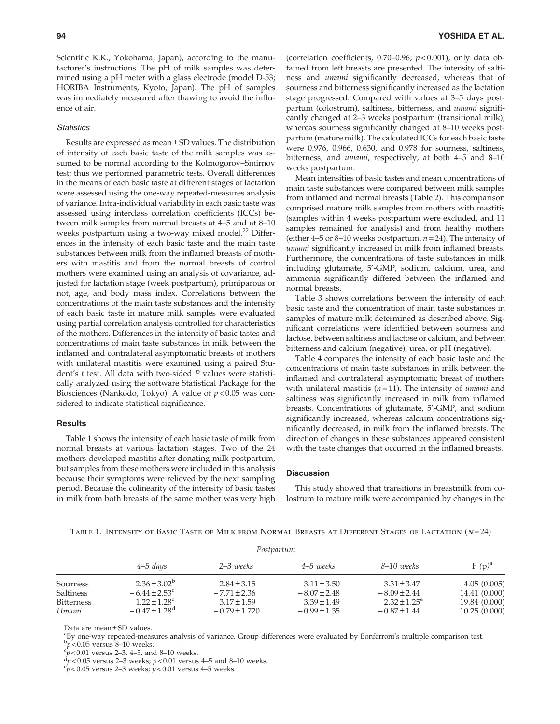Scientific K.K., Yokohama, Japan), according to the manufacturer's instructions. The pH of milk samples was determined using a pH meter with a glass electrode (model D-53; HORIBA Instruments, Kyoto, Japan). The pH of samples was immediately measured after thawing to avoid the influence of air.

# **Statistics**

Results are expressed as mean  $\pm$  SD values. The distribution of intensity of each basic taste of the milk samples was assumed to be normal according to the Kolmogorov–Smirnov test; thus we performed parametric tests. Overall differences in the means of each basic taste at different stages of lactation were assessed using the one-way repeated-measures analysis of variance. Intra-individual variability in each basic taste was assessed using interclass correlation coefficients (ICCs) between milk samples from normal breasts at 4–5 and at 8–10 weeks postpartum using a two-way mixed model.<sup>22</sup> Differences in the intensity of each basic taste and the main taste substances between milk from the inflamed breasts of mothers with mastitis and from the normal breasts of control mothers were examined using an analysis of covariance, adjusted for lactation stage (week postpartum), primiparous or not, age, and body mass index. Correlations between the concentrations of the main taste substances and the intensity of each basic taste in mature milk samples were evaluated using partial correlation analysis controlled for characteristics of the mothers. Differences in the intensity of basic tastes and concentrations of main taste substances in milk between the inflamed and contralateral asymptomatic breasts of mothers with unilateral mastitis were examined using a paired Student's t test. All data with two-sided P values were statistically analyzed using the software Statistical Package for the Biosciences (Nankodo, Tokyo). A value of  $p < 0.05$  was considered to indicate statistical significance.

#### **Results**

Table 1 shows the intensity of each basic taste of milk from normal breasts at various lactation stages. Two of the 24 mothers developed mastitis after donating milk postpartum, but samples from these mothers were included in this analysis because their symptoms were relieved by the next sampling period. Because the colinearity of the intensity of basic tastes in milk from both breasts of the same mother was very high (correlation coefficients,  $0.70-0.96$ ;  $p < 0.001$ ), only data obtained from left breasts are presented. The intensity of saltiness and umami significantly decreased, whereas that of sourness and bitterness significantly increased as the lactation stage progressed. Compared with values at 3–5 days postpartum (colostrum), saltiness, bitterness, and umami significantly changed at 2–3 weeks postpartum (transitional milk), whereas sourness significantly changed at 8–10 weeks postpartum (mature milk). The calculated ICCs for each basic taste were 0.976, 0.966, 0.630, and 0.978 for sourness, saltiness, bitterness, and umami, respectively, at both 4–5 and 8–10 weeks postpartum.

Mean intensities of basic tastes and mean concentrations of main taste substances were compared between milk samples from inflamed and normal breasts (Table 2). This comparison comprised mature milk samples from mothers with mastitis (samples within 4 weeks postpartum were excluded, and 11 samples remained for analysis) and from healthy mothers (either 4–5 or 8–10 weeks postpartum,  $n = 24$ ). The intensity of umami significantly increased in milk from inflamed breasts. Furthermore, the concentrations of taste substances in milk including glutamate, 5'-GMP, sodium, calcium, urea, and ammonia significantly differed between the inflamed and normal breasts.

Table 3 shows correlations between the intensity of each basic taste and the concentration of main taste substances in samples of mature milk determined as described above. Significant correlations were identified between sourness and lactose, between saltiness and lactose or calcium, and between bitterness and calcium (negative), urea, or pH (negative).

Table 4 compares the intensity of each basic taste and the concentrations of main taste substances in milk between the inflamed and contralateral asymptomatic breast of mothers with unilateral mastitis  $(n=11)$ . The intensity of *umami* and saltiness was significantly increased in milk from inflamed breasts. Concentrations of glutamate, 5'-GMP, and sodium significantly increased, whereas calcium concentrations significantly decreased, in milk from the inflamed breasts. The direction of changes in these substances appeared consistent with the taste changes that occurred in the inflamed breasts.

## **Discussion**

This study showed that transitions in breastmilk from colostrum to mature milk were accompanied by changes in the

|  | TABLE 1. INTENSITY OF BASIC TASTE OF MILK FROM NORMAL BREASTS AT DIFFERENT STAGES OF LACTATION $(N=24)$ |  |  |  |
|--|---------------------------------------------------------------------------------------------------------|--|--|--|
|--|---------------------------------------------------------------------------------------------------------|--|--|--|

|                                                     | Postpartum                                                                                                          |                                                                             |                                                                            |                                                                              |                                                               |
|-----------------------------------------------------|---------------------------------------------------------------------------------------------------------------------|-----------------------------------------------------------------------------|----------------------------------------------------------------------------|------------------------------------------------------------------------------|---------------------------------------------------------------|
|                                                     | $4 - 5$ days                                                                                                        | $2-3$ weeks                                                                 | $4-5$ weeks                                                                | 8–10 weeks                                                                   | $F(p)^a$                                                      |
| Sourness<br>Saltiness<br><b>Bitterness</b><br>Umami | $2.36 \pm 3.02^b$<br>$-6.44 \pm 2.53$ <sup>c</sup><br>$1.22 \pm 1.28$ <sup>c</sup><br>$-0.47 \pm 1.28$ <sup>d</sup> | $2.84 \pm 3.15$<br>$-7.71 \pm 2.36$<br>$3.17 \pm 1.59$<br>$-0.79 \pm 1.720$ | $3.11 \pm 3.50$<br>$-8.07 \pm 2.48$<br>$3.39 \pm 1.49$<br>$-0.99 \pm 1.35$ | $3.31 \pm 3.47$<br>$-8.09 \pm 2.44$<br>$2.32 \pm 1.25^e$<br>$-0.87 \pm 1.44$ | 4.05(0.005)<br>14.41 (0.000)<br>19.84 (0.000)<br>10.25(0.000) |

Data are mean  $\pm$  SD values.

<sup>a</sup>By one-way repeated-measures analysis of variance. Group differences were evaluated by Bonferroni's multiple comparison test.

 $\frac{e_p}{2}$  < 0.05 versus 2–3 weeks;  $p$  < 0.01 versus 4–5 weeks.

 $\frac{b}{r}$  < 0.05 versus 8–10 weeks.  $\epsilon_p$  < 0.01 versus 2–3, 4–5, and 8–10 weeks.

 $dp$  < 0.05 versus 2–3 weeks;  $p$  < 0.01 versus 4–5 and 8–10 weeks.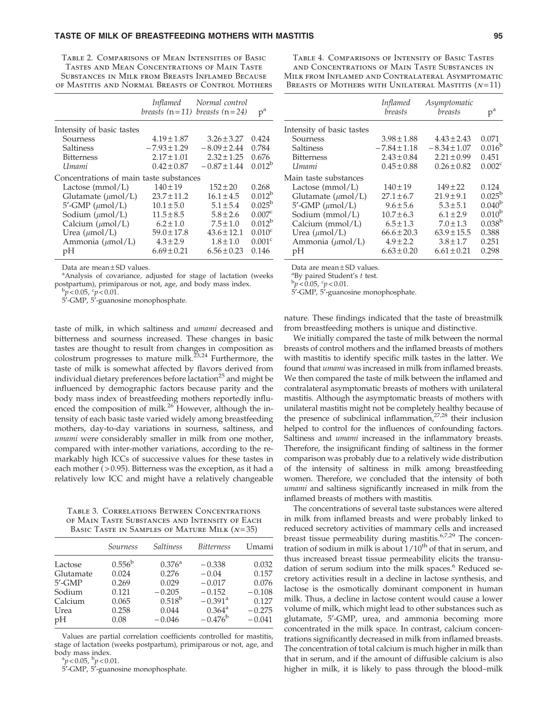# TASTE OF MILK OF BREASTFEEDING MOTHERS WITH MASTITIS 95

|                                         |                  | Inflamed Normal control<br>breasts $(n=11)$ breasts $(n=24)$ | $p^a$              |
|-----------------------------------------|------------------|--------------------------------------------------------------|--------------------|
| Intensity of basic tastes               |                  |                                                              |                    |
| Sourness                                | $4.19 \pm 1.87$  | $3.26 \pm 3.27$                                              | 0.424              |
| Saltiness                               | $-7.93 \pm 1.29$ | $-8.09 \pm 2.44$                                             | 0.784              |
| <b>Bitterness</b>                       | $2.17 \pm 1.01$  | $2.32 \pm 1.25$                                              | 0.676              |
| Umami                                   | $0.42 \pm 0.87$  | $-0.87 \pm 1.44$                                             | $0.012^b$          |
| Concentrations of main taste substances |                  |                                                              |                    |
| Lactose $(mmol/L)$                      | $140 \pm 19$     | $152 \pm 20$                                                 | 0.268              |
| Glutamate $(\mu mol/L)$                 | $23.7 \pm 11.2$  | $16.1 \pm 4.5$                                               | $0.012^{b}$        |
| $5'$ -GMP ( $\mu$ mol/L)                | $10.1 \pm 5.0$   | $5.1 \pm 5.4$                                                | $0.025^{\rm b}$    |
| Sodium $(\mu mol/L)$                    | $11.5 \pm 8.5$   | $5.8 \pm 2.6$                                                | 0.007 <sup>c</sup> |
| Calcium $(\mu mol/L)$                   | $6.2 \pm 1.0$    | $7.5 \pm 1.0$                                                | $0.012^{b}$        |
| Urea $(\mu \text{mol/L})$               | $59.0 \pm 17.8$  | $43.6 \pm 12.1$                                              | 0.010 <sup>c</sup> |
| Ammonia $(\mu \text{mol/L})$            | $4.3 \pm 2.9$    | $1.8 \pm 1.0$                                                | 0.001 <sup>c</sup> |
| pH                                      | $6.69 \pm 0.21$  | $6.56 \pm 0.23$                                              | 0.146              |

Data are mean $\pm$ SD values.

<sup>a</sup> Analysis of covariance, adjusted for stage of lactation (weeks postpartum), primiparous or not, age, and body mass index.

 $p < 0.05$ ,  $p < 0.01$ .

5¢-GMP, 5¢-guanosine monophosphate.

taste of milk, in which saltiness and umami decreased and bitterness and sourness increased. These changes in basic tastes are thought to result from changes in composition as colostrum progresses to mature milk.<sup>23,24</sup> Furthermore, the taste of milk is somewhat affected by flavors derived from individual dietary preferences before lactation<sup>25</sup> and might be influenced by demographic factors because parity and the body mass index of breastfeeding mothers reportedly influenced the composition of milk.<sup>26</sup> However, although the intensity of each basic taste varied widely among breastfeeding mothers, day-to-day variations in sourness, saltiness, and umami were considerably smaller in milk from one mother, compared with inter-mother variations, according to the remarkably high ICCs of successive values for these tastes in each mother  $( > 0.95)$ . Bitterness was the exception, as it had a relatively low ICC and might have a relatively changeable

Table 3. Correlations Between Concentrations of Main Taste Substances and Intensity of Each BASIC TASTE IN SAMPLES OF MATURE MILK  $(N=35)$ 

|           | Sourness        | <i>Saltiness</i> | <i>Bitterness</i>     | Umami    |
|-----------|-----------------|------------------|-----------------------|----------|
| Lactose   | $0.556^{\rm b}$ | $0.376^{\rm a}$  | $-0.338$              | 0.032    |
| Glutamate | 0.024           | 0.276            | $-0.04$               | 0.157    |
| $5'$ -GMP | 0.269           | 0.029            | $-0.017$              | 0.076    |
| Sodium    | 0.121           | $-0.205$         | $-0.152$              | $-0.108$ |
| Calcium   | 0.065           | $0.518^{b}$      | $-0.391$ <sup>a</sup> | 0.127    |
| Urea      | 0.258           | 0.044            | $0.364^{\rm a}$       | $-0.275$ |
| pH        | 0.08            | $-0.046$         | $-0.476^{\rm b}$      | $-0.041$ |

Values are partial correlation coefficients controlled for mastitis, stage of lactation (weeks postpartum), primiparous or not, age, and body mass index.<br> $a_p < 0.05$ ,  $b_p < 0.01$ .

5¢-GMP, 5¢-guanosine monophosphate.

Table 4. Comparisons of Intensity of Basic Tastes and Concentrations of Main Taste Substances in Milk from Inflamed and Contralateral Asymptomatic BREASTS OF MOTHERS WITH UNILATERAL MASTITIS  $(N=11)$ 

|                             | Inflamed<br><i>breasts</i> | Asymptomatic<br><i>breasts</i> | $p^a$           |
|-----------------------------|----------------------------|--------------------------------|-----------------|
| Intensity of basic tastes   |                            |                                |                 |
| Sourness                    | $3.98 \pm 1.88$            | $4.43 \pm 2.43$                | 0.071           |
| <b>Saltiness</b>            | $-7.84 \pm 1.18$           | $-8.34 \pm 1.07$               | $0.016^{\rm b}$ |
| <b>Bitterness</b>           | $2.43 \pm 0.84$            | $2.21 \pm 0.99$                | 0.451           |
| l Imami                     | $0.45 \pm 0.88$            | $0.26 \pm 0.82$                | $0.002^{\circ}$ |
| Main taste substances       |                            |                                |                 |
| Lactose $(mmol/L)$          | $140 \pm 19$               | $149 \pm 22$                   | 0.124           |
| Glutamate $(\mu mol/L)$     | $27.1 \pm 6.7$             | $21.9 \pm 9.1$                 | $0.025^{b}$     |
| 5'-GMP $(\mu \text{mol/L})$ | $9.6 \pm 5.6$              | $5.3 \pm 5.1$                  | $0.040^{b}$     |
| Sodium $(mmol/L)$           | $10.7 \pm 6.3$             | $6.1 \pm 2.9$                  | $0.010^{b}$     |
| Calcium $(mmol/L)$          | $6.5 \pm 1.3$              | $7.0 \pm 1.3$                  | $0.038^{b}$     |
| Urea $(\mu \text{mol/L})$   | $66.6 \pm 20.3$            | $63.9 \pm 15.5$                | 0.388           |
| Ammonia $(\mu mol/L)$       | $4.9 \pm 2.2$              | $3.8 \pm 1.7$                  | 0.251           |
| рH                          | $6.63 \pm 0.20$            | $6.61 \pm 0.21$                | 0.298           |

Data are mean ± SD values.

 $By$  paired Student's  $t$  test.

 $p < 0.05$ ,  $c_p < 0.01$ .

5¢-GMP, 5¢-guanosine monophosphate.

nature. These findings indicated that the taste of breastmilk from breastfeeding mothers is unique and distinctive.

We initially compared the taste of milk between the normal breasts of control mothers and the inflamed breasts of mothers with mastitis to identify specific milk tastes in the latter. We found that umami was increased in milk from inflamed breasts. We then compared the taste of milk between the inflamed and contralateral asymptomatic breasts of mothers with unilateral mastitis. Although the asymptomatic breasts of mothers with unilateral mastitis might not be completely healthy because of the presence of subclinical inflammation, $27,28$  their inclusion helped to control for the influences of confounding factors. Saltiness and umami increased in the inflammatory breasts. Therefore, the insignificant finding of saltiness in the former comparison was probably due to a relatively wide distribution of the intensity of saltiness in milk among breastfeeding women. Therefore, we concluded that the intensity of both umami and saltiness significantly increased in milk from the inflamed breasts of mothers with mastitis.

The concentrations of several taste substances were altered in milk from inflamed breasts and were probably linked to reduced secretory activities of mammary cells and increased breast tissue permeability during mastitis.<sup>6,7,29</sup> The concentration of sodium in milk is about  $1/10^{th}$  of that in serum, and thus increased breast tissue permeability elicits the transudation of serum sodium into the milk spaces.<sup>6</sup> Reduced secretory activities result in a decline in lactose synthesis, and lactose is the osmotically dominant component in human milk. Thus, a decline in lactose content would cause a lower volume of milk, which might lead to other substances such as glutamate, 5¢-GMP, urea, and ammonia becoming more concentrated in the milk space. In contrast, calcium concentrations significantly decreased in milk from inflamed breasts. The concentration of total calcium is much higher in milk than that in serum, and if the amount of diffusible calcium is also higher in milk, it is likely to pass through the blood–milk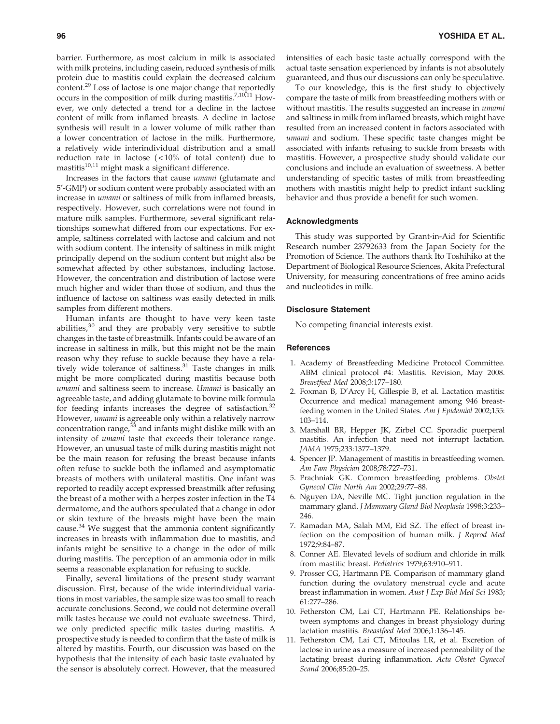barrier. Furthermore, as most calcium in milk is associated with milk proteins, including casein, reduced synthesis of milk protein due to mastitis could explain the decreased calcium content.29 Loss of lactose is one major change that reportedly occurs in the composition of milk during mastitis.<sup>7,10,11</sup> However, we only detected a trend for a decline in the lactose content of milk from inflamed breasts. A decline in lactose synthesis will result in a lower volume of milk rather than a lower concentration of lactose in the milk. Furthermore, a relatively wide interindividual distribution and a small reduction rate in lactose  $(<10\%$  of total content) due to  $\text{mastitis}^{10,11}$  might mask a significant difference.

Increases in the factors that cause umami (glutamate and 5¢-GMP) or sodium content were probably associated with an increase in umami or saltiness of milk from inflamed breasts, respectively. However, such correlations were not found in mature milk samples. Furthermore, several significant relationships somewhat differed from our expectations. For example, saltiness correlated with lactose and calcium and not with sodium content. The intensity of saltiness in milk might principally depend on the sodium content but might also be somewhat affected by other substances, including lactose. However, the concentration and distribution of lactose were much higher and wider than those of sodium, and thus the influence of lactose on saltiness was easily detected in milk samples from different mothers.

Human infants are thought to have very keen taste abilities,<sup>30</sup> and they are probably very sensitive to subtle changes in the taste of breastmilk. Infants could be aware of an increase in saltiness in milk, but this might not be the main reason why they refuse to suckle because they have a relatively wide tolerance of saltiness.<sup>31</sup> Taste changes in milk might be more complicated during mastitis because both umami and saltiness seem to increase. Umami is basically an agreeable taste, and adding glutamate to bovine milk formula for feeding infants increases the degree of satisfaction.<sup>32</sup> However, umami is agreeable only within a relatively narrow concentration range, $33$  and infants might dislike milk with an intensity of umami taste that exceeds their tolerance range. However, an unusual taste of milk during mastitis might not be the main reason for refusing the breast because infants often refuse to suckle both the inflamed and asymptomatic breasts of mothers with unilateral mastitis. One infant was reported to readily accept expressed breastmilk after refusing the breast of a mother with a herpes zoster infection in the T4 dermatome, and the authors speculated that a change in odor or skin texture of the breasts might have been the main cause.<sup>34</sup> We suggest that the ammonia content significantly increases in breasts with inflammation due to mastitis, and infants might be sensitive to a change in the odor of milk during mastitis. The perception of an ammonia odor in milk seems a reasonable explanation for refusing to suckle.

Finally, several limitations of the present study warrant discussion. First, because of the wide interindividual variations in most variables, the sample size was too small to reach accurate conclusions. Second, we could not determine overall milk tastes because we could not evaluate sweetness. Third, we only predicted specific milk tastes during mastitis. A prospective study is needed to confirm that the taste of milk is altered by mastitis. Fourth, our discussion was based on the hypothesis that the intensity of each basic taste evaluated by the sensor is absolutely correct. However, that the measured

intensities of each basic taste actually correspond with the actual taste sensation experienced by infants is not absolutely guaranteed, and thus our discussions can only be speculative.

To our knowledge, this is the first study to objectively compare the taste of milk from breastfeeding mothers with or without mastitis. The results suggested an increase in *umami* and saltiness in milk from inflamed breasts, which might have resulted from an increased content in factors associated with umami and sodium. These specific taste changes might be associated with infants refusing to suckle from breasts with mastitis. However, a prospective study should validate our conclusions and include an evaluation of sweetness. A better understanding of specific tastes of milk from breastfeeding mothers with mastitis might help to predict infant suckling behavior and thus provide a benefit for such women.

#### Acknowledgments

This study was supported by Grant-in-Aid for Scientific Research number 23792633 from the Japan Society for the Promotion of Science. The authors thank Ito Toshihiko at the Department of Biological Resource Sciences, Akita Prefectural University, for measuring concentrations of free amino acids and nucleotides in milk.

#### Disclosure Statement

No competing financial interests exist.

#### References

- 1. Academy of Breastfeeding Medicine Protocol Committee. ABM clinical protocol #4: Mastitis. Revision, May 2008. Breastfeed Med 2008;3:177–180.
- 2. Foxman B, D'Arcy H, Gillespie B, et al. Lactation mastitis: Occurrence and medical management among 946 breastfeeding women in the United States. Am J Epidemiol 2002;155: 103–114.
- 3. Marshall BR, Hepper JK, Zirbel CC. Sporadic puerperal mastitis. An infection that need not interrupt lactation. JAMA 1975;233:1377–1379.
- 4. Spencer JP. Management of mastitis in breastfeeding women. Am Fam Physician 2008;78:727–731.
- 5. Prachniak GK. Common breastfeeding problems. Obstet Gynecol Clin North Am 2002;29:77–88.
- 6. Nguyen DA, Neville MC. Tight junction regulation in the mammary gland. J Mammary Gland Biol Neoplasia 1998;3:233– 246.
- 7. Ramadan MA, Salah MM, Eid SZ. The effect of breast infection on the composition of human milk. J Reprod Med 1972;9:84–87.
- 8. Conner AE. Elevated levels of sodium and chloride in milk from mastitic breast. Pediatrics 1979;63:910–911.
- 9. Prosser CG, Hartmann PE. Comparison of mammary gland function during the ovulatory menstrual cycle and acute breast inflammation in women. Aust J Exp Biol Med Sci 1983; 61:277–286.
- 10. Fetherston CM, Lai CT, Hartmann PE. Relationships between symptoms and changes in breast physiology during lactation mastitis. Breastfeed Med 2006;1:136–145.
- 11. Fetherston CM, Lai CT, Mitoulas LR, et al. Excretion of lactose in urine as a measure of increased permeability of the lactating breast during inflammation. Acta Obstet Gynecol Scand 2006;85:20–25.